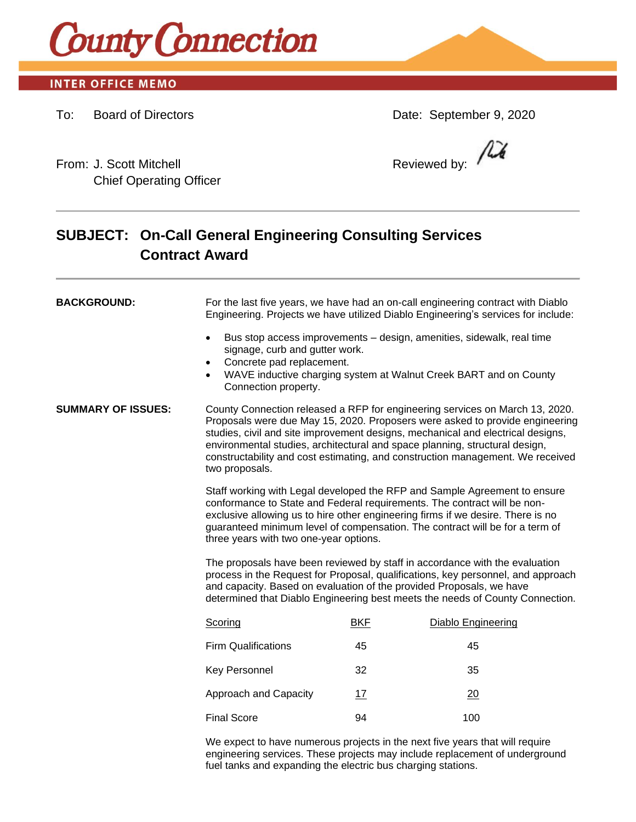

## **INTER OFFICE MEMO**

To: Board of Directors Date: September 9, 2020

 $\mu$ 

From: J. Scott Mitchell **Reviewed by:** Reviewed by: Chief Operating Officer

# **SUBJECT: On-Call General Engineering Consulting Services Contract Award**

| <b>BACKGROUND:</b>        | For the last five years, we have had an on-call engineering contract with Diablo<br>Engineering. Projects we have utilized Diablo Engineering's services for include:                                                                                                                                                                                                                                                              |            |                                                                                                                                            |
|---------------------------|------------------------------------------------------------------------------------------------------------------------------------------------------------------------------------------------------------------------------------------------------------------------------------------------------------------------------------------------------------------------------------------------------------------------------------|------------|--------------------------------------------------------------------------------------------------------------------------------------------|
|                           | $\bullet$<br>signage, curb and gutter work.<br>Concrete pad replacement.<br>$\bullet$<br>$\bullet$<br>Connection property.                                                                                                                                                                                                                                                                                                         |            | Bus stop access improvements – design, amenities, sidewalk, real time<br>WAVE inductive charging system at Walnut Creek BART and on County |
| <b>SUMMARY OF ISSUES:</b> | County Connection released a RFP for engineering services on March 13, 2020.<br>Proposals were due May 15, 2020. Proposers were asked to provide engineering<br>studies, civil and site improvement designs, mechanical and electrical designs,<br>environmental studies, architectural and space planning, structural design,<br>constructability and cost estimating, and construction management. We received<br>two proposals. |            |                                                                                                                                            |
|                           | Staff working with Legal developed the RFP and Sample Agreement to ensure<br>conformance to State and Federal requirements. The contract will be non-<br>exclusive allowing us to hire other engineering firms if we desire. There is no<br>guaranteed minimum level of compensation. The contract will be for a term of<br>three years with two one-year options.                                                                 |            |                                                                                                                                            |
|                           | The proposals have been reviewed by staff in accordance with the evaluation<br>process in the Request for Proposal, qualifications, key personnel, and approach<br>and capacity. Based on evaluation of the provided Proposals, we have<br>determined that Diablo Engineering best meets the needs of County Connection.                                                                                                           |            |                                                                                                                                            |
|                           | Scoring                                                                                                                                                                                                                                                                                                                                                                                                                            | <b>BKF</b> | Diablo Engineering                                                                                                                         |
|                           | <b>Firm Qualifications</b>                                                                                                                                                                                                                                                                                                                                                                                                         | 45         | 45                                                                                                                                         |
|                           | Key Personnel                                                                                                                                                                                                                                                                                                                                                                                                                      | 32         | 35                                                                                                                                         |
|                           | Approach and Capacity                                                                                                                                                                                                                                                                                                                                                                                                              | 17         | 20                                                                                                                                         |
|                           | <b>Final Score</b>                                                                                                                                                                                                                                                                                                                                                                                                                 | 94         | 100                                                                                                                                        |
|                           | We expect to have numerous projects in the next five years that will require                                                                                                                                                                                                                                                                                                                                                       |            |                                                                                                                                            |

engineering services. These projects may include replacement of underground fuel tanks and expanding the electric bus charging stations.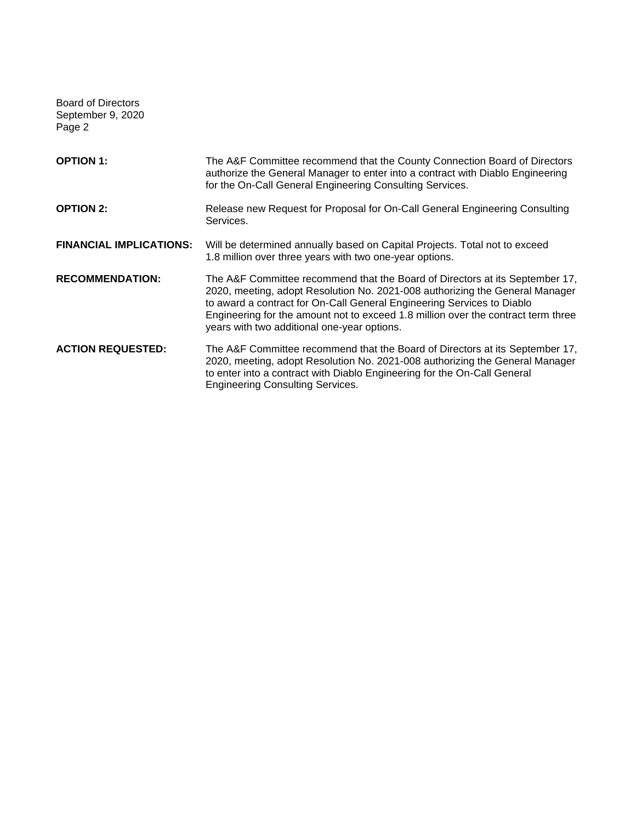Board of Directors September 9, 2020 Page 2

| <b>OPTION 1:</b>               | The A&F Committee recommend that the County Connection Board of Directors<br>authorize the General Manager to enter into a contract with Diablo Engineering<br>for the On-Call General Engineering Consulting Services.                                                                                                                                                    |  |
|--------------------------------|----------------------------------------------------------------------------------------------------------------------------------------------------------------------------------------------------------------------------------------------------------------------------------------------------------------------------------------------------------------------------|--|
| <b>OPTION 2:</b>               | Release new Request for Proposal for On-Call General Engineering Consulting<br>Services.                                                                                                                                                                                                                                                                                   |  |
| <b>FINANCIAL IMPLICATIONS:</b> | Will be determined annually based on Capital Projects. Total not to exceed<br>1.8 million over three years with two one-year options.                                                                                                                                                                                                                                      |  |
| <b>RECOMMENDATION:</b>         | The A&F Committee recommend that the Board of Directors at its September 17,<br>2020, meeting, adopt Resolution No. 2021-008 authorizing the General Manager<br>to award a contract for On-Call General Engineering Services to Diablo<br>Engineering for the amount not to exceed 1.8 million over the contract term three<br>years with two additional one-year options. |  |
| <b>ACTION REQUESTED:</b>       | The A&F Committee recommend that the Board of Directors at its September 17,<br>2020, meeting, adopt Resolution No. 2021-008 authorizing the General Manager<br>to enter into a contract with Diablo Engineering for the On-Call General<br><b>Engineering Consulting Services.</b>                                                                                        |  |